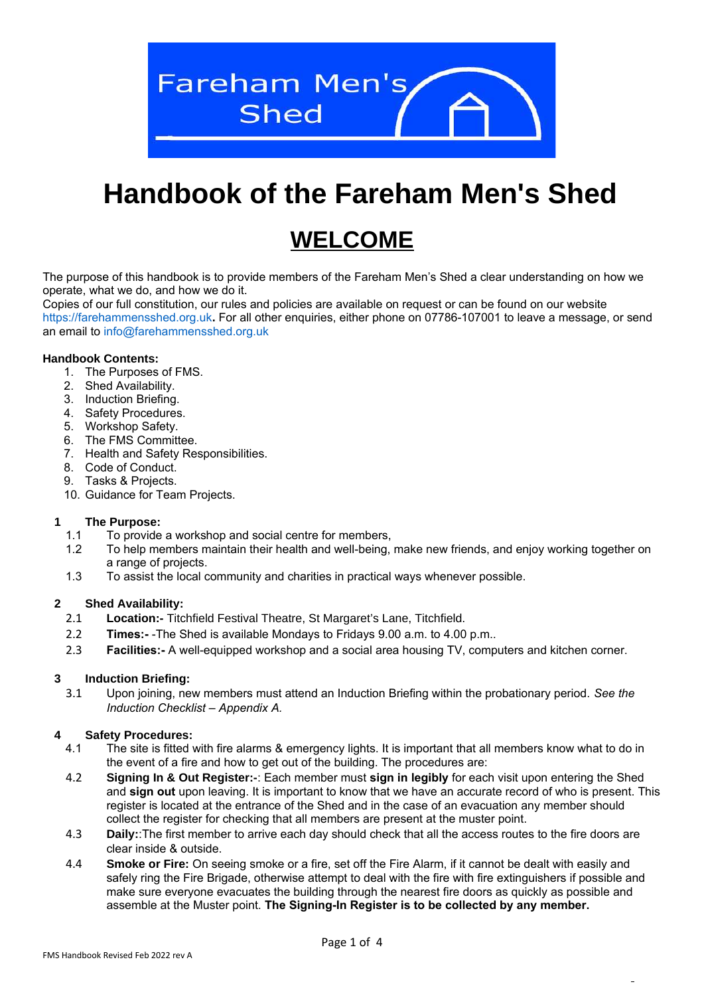

# **Handbook of the Fareham Men's Shed**

## **WELCOME**

The purpose of this handbook is to provide members of the Fareham Men's Shed a clear understanding on how we operate, what we do, and how we do it.

Copies of our full constitution, our rules and policies are available on request or can be found on our website https://farehammensshed.org.uk**.** For all other enquiries, either phone on 07786-107001 to leave a message, or send an email to info@farehammensshed.org.uk

#### **Handbook Contents:**

- 1. The Purposes of FMS.
- 2. Shed Availability.
- 3. Induction Briefing.
- 4. Safety Procedures.
- 5. Workshop Safety.
- 6. The FMS Committee.
- 7. Health and Safety Responsibilities.
- 8. Code of Conduct.
- 9. Tasks & Projects.
- 10. Guidance for Team Projects.

#### **1 The Purpose:**

- 1.1 To provide a workshop and social centre for members,
- 1.2 To help members maintain their health and well-being, make new friends, and enjoy working together on a range of projects.
- 1.3 To assist the local community and charities in practical ways whenever possible.

#### **2 Shed Availability:**

- 2.1 **Location:-** Titchfield Festival Theatre, St Margaret's Lane, Titchfield.
- 2.2 **Times:-** -The Shed is available Mondays to Fridays 9.00 a.m. to 4.00 p.m..
- 2.3 **Facilities:-** A well-equipped workshop and a social area housing TV, computers and kitchen corner.

#### **3 Induction Briefing:**

 3.1 Upon joining, new members must attend an Induction Briefing within the probationary period. *See the Induction Checklist – Appendix A.*

#### **4 Safety Procedures:**

- 4.1 The site is fitted with fire alarms & emergency lights. It is important that all members know what to do in the event of a fire and how to get out of the building. The procedures are:
- 4.2 **Signing In & Out Register:-**: Each member must **sign in legibly** for each visit upon entering the Shed and **sign out** upon leaving. It is important to know that we have an accurate record of who is present. This register is located at the entrance of the Shed and in the case of an evacuation any member should collect the register for checking that all members are present at the muster point.
- 4.3 **Daily:**:The first member to arrive each day should check that all the access routes to the fire doors are clear inside & outside.
- 4.4 **Smoke or Fire:** On seeing smoke or a fire, set off the Fire Alarm, if it cannot be dealt with easily and safely ring the Fire Brigade, otherwise attempt to deal with the fire with fire extinguishers if possible and make sure everyone evacuates the building through the nearest fire doors as quickly as possible and assemble at the Muster point. **The Signing-In Register is to be collected by any member.**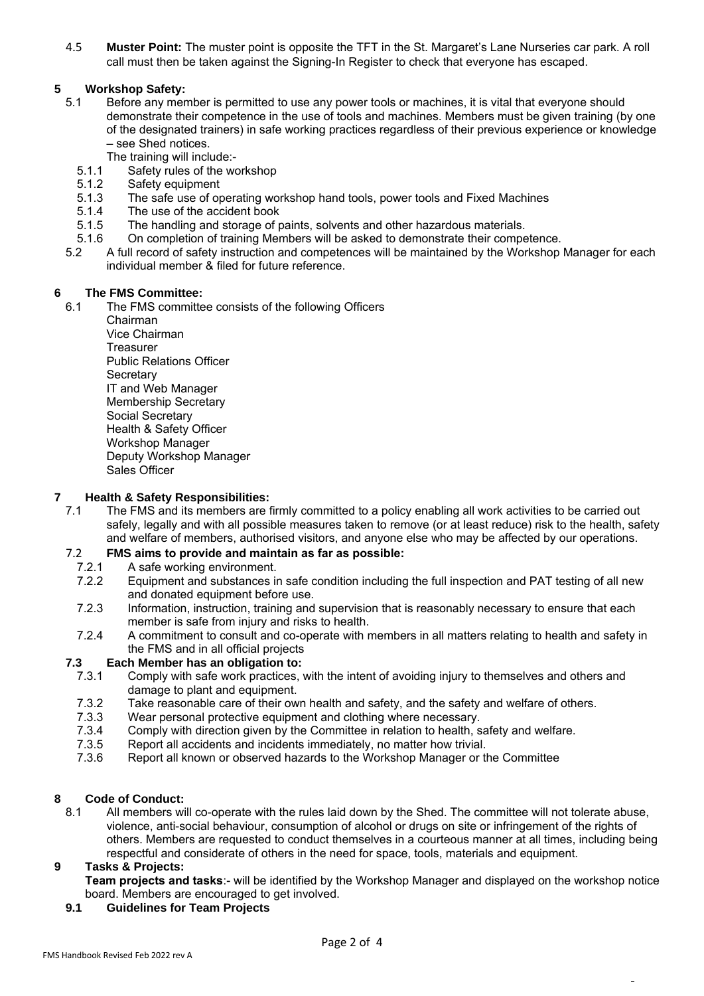4.5 **Muster Point:** The muster point is opposite the TFT in the St. Margaret's Lane Nurseries car park. A roll call must then be taken against the Signing-In Register to check that everyone has escaped.

#### **5 Workshop Safety:**

- 5.1 Before any member is permitted to use any power tools or machines, it is vital that everyone should demonstrate their competence in the use of tools and machines. Members must be given training (by one of the designated trainers) in safe working practices regardless of their previous experience or knowledge – see Shed notices.
	- The training will include:-
	- 5.1.1 Safety rules of the workshop
	- 5.1.2 Safety equipment<br>5.1.3 The safe use of op
	- The safe use of operating workshop hand tools, power tools and Fixed Machines
	- 5.1.4 The use of the accident book
	- 5.1.5 The handling and storage of paints, solvents and other hazardous materials.
	- 5.1.6 On completion of training Members will be asked to demonstrate their competence.
- 5.2 A full record of safety instruction and competences will be maintained by the Workshop Manager for each individual member & filed for future reference.

#### **6 The FMS Committee:**

6.1 The FMS committee consists of the following Officers

Chairman Vice Chairman **Treasurer** Public Relations Officer **Secretary** IT and Web Manager Membership Secretary Social Secretary Health & Safety Officer Workshop Manager Deputy Workshop Manager Sales Officer

#### **7 Health & Safety Responsibilities:**

 7.1 The FMS and its members are firmly committed to a policy enabling all work activities to be carried out safely, legally and with all possible measures taken to remove (or at least reduce) risk to the health, safety and welfare of members, authorised visitors, and anyone else who may be affected by our operations.

#### 7.2 **FMS aims to provide and maintain as far as possible:**

- 7.2.1 A safe working environment.
- 7.2.2 Equipment and substances in safe condition including the full inspection and PAT testing of all new and donated equipment before use.
- 7.2.3 Information, instruction, training and supervision that is reasonably necessary to ensure that each member is safe from injury and risks to health.
- 7.2.4 A commitment to consult and co-operate with members in all matters relating to health and safety in the FMS and in all official projects

#### **7.3 Each Member has an obligation to:**

- 7.3.1 Comply with safe work practices, with the intent of avoiding injury to themselves and others and damage to plant and equipment.
- 7.3.2 Take reasonable care of their own health and safety, and the safety and welfare of others.
- 7.3.3 Wear personal protective equipment and clothing where necessary.
- 7.3.4 Comply with direction given by the Committee in relation to health, safety and welfare.
- 7.3.5 Report all accidents and incidents immediately, no matter how trivial.
- 7.3.6 Report all known or observed hazards to the Workshop Manager or the Committee

#### **8 Code of Conduct:**

 8.1 All members will co-operate with the rules laid down by the Shed. The committee will not tolerate abuse, violence, anti-social behaviour, consumption of alcohol or drugs on site or infringement of the rights of others. Members are requested to conduct themselves in a courteous manner at all times, including being respectful and considerate of others in the need for space, tools, materials and equipment.

#### **9 Tasks & Projects:**

**Team projects and tasks**:- will be identified by the Workshop Manager and displayed on the workshop notice board. Members are encouraged to get involved.

 **9.1 Guidelines for Team Projects**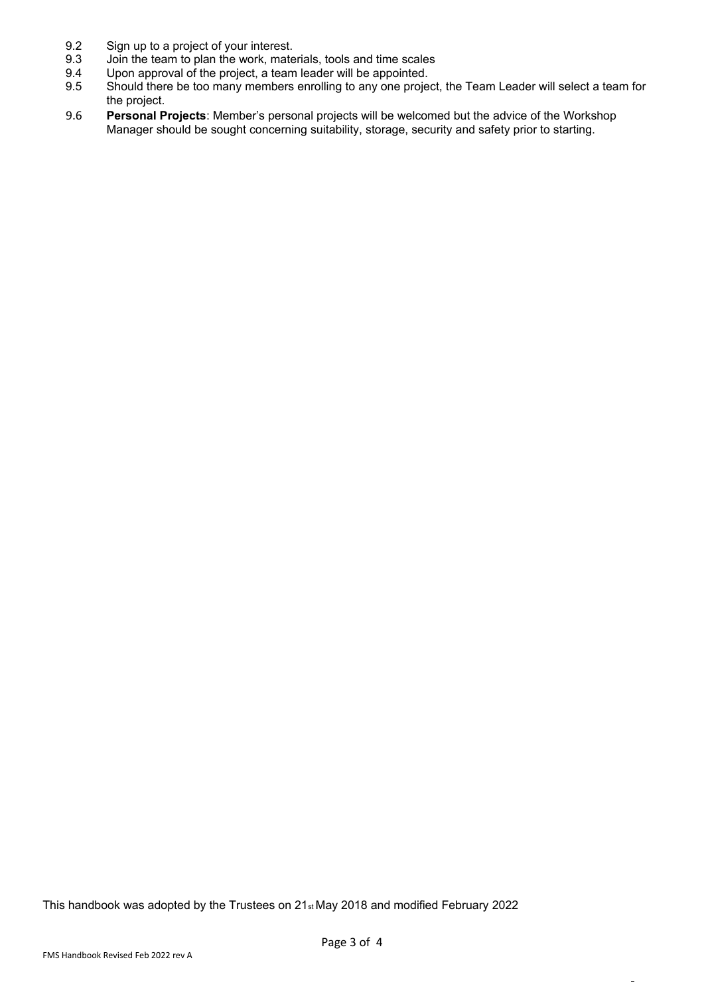- 9.2 Sign up to a project of your interest.<br>9.3 Join the team to plan the work. mate
- 9.3 Join the team to plan the work, materials, tools and time scales<br>9.4 Upon approval of the project, a team leader will be appointed.
- 9.4 Upon approval of the project, a team leader will be appointed.<br>9.5 Should there be too many members enrolling to any one proje
- Should there be too many members enrolling to any one project, the Team Leader will select a team for the project.
- 9.6 **Personal Projects**: Member's personal projects will be welcomed but the advice of the Workshop Manager should be sought concerning suitability, storage, security and safety prior to starting.

This handbook was adopted by the Trustees on 21st May 2018 and modified February 2022

 $\overline{a}$